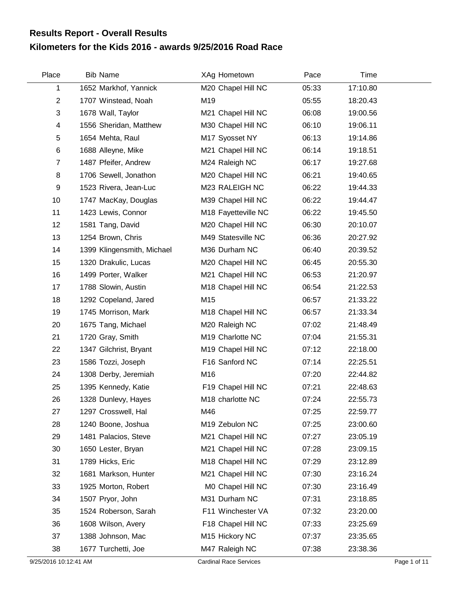## **Kilometers for the Kids 2016 - awards 9/25/2016 Road Race Results Report - Overall Results**

| Place          | <b>Bib Name</b>            | XAg Hometown        | Pace  | Time     |  |
|----------------|----------------------------|---------------------|-------|----------|--|
| 1              | 1652 Markhof, Yannick      | M20 Chapel Hill NC  | 05:33 | 17:10.80 |  |
| $\overline{c}$ | 1707 Winstead, Noah        | M19                 | 05:55 | 18:20.43 |  |
| 3              | 1678 Wall, Taylor          | M21 Chapel Hill NC  | 06:08 | 19:00.56 |  |
| 4              | 1556 Sheridan, Matthew     | M30 Chapel Hill NC  | 06:10 | 19:06.11 |  |
| 5              | 1654 Mehta, Raul           | M17 Syosset NY      | 06:13 | 19:14.86 |  |
| 6              | 1688 Alleyne, Mike         | M21 Chapel Hill NC  | 06:14 | 19:18.51 |  |
| $\overline{7}$ | 1487 Pfeifer, Andrew       | M24 Raleigh NC      | 06:17 | 19:27.68 |  |
| 8              | 1706 Sewell, Jonathon      | M20 Chapel Hill NC  | 06:21 | 19:40.65 |  |
| 9              | 1523 Rivera, Jean-Luc      | M23 RALEIGH NC      | 06:22 | 19:44.33 |  |
| 10             | 1747 MacKay, Douglas       | M39 Chapel Hill NC  | 06:22 | 19:44.47 |  |
| 11             | 1423 Lewis, Connor         | M18 Fayetteville NC | 06:22 | 19:45.50 |  |
| 12             | 1581 Tang, David           | M20 Chapel Hill NC  | 06:30 | 20:10.07 |  |
| 13             | 1254 Brown, Chris          | M49 Statesville NC  | 06:36 | 20:27.92 |  |
| 14             | 1399 Klingensmith, Michael | M36 Durham NC       | 06:40 | 20:39.52 |  |
| 15             | 1320 Drakulic, Lucas       | M20 Chapel Hill NC  | 06:45 | 20:55.30 |  |
| 16             | 1499 Porter, Walker        | M21 Chapel Hill NC  | 06:53 | 21:20.97 |  |
| 17             | 1788 Slowin, Austin        | M18 Chapel Hill NC  | 06:54 | 21:22.53 |  |
| 18             | 1292 Copeland, Jared       | M15                 | 06:57 | 21:33.22 |  |
| 19             | 1745 Morrison, Mark        | M18 Chapel Hill NC  | 06:57 | 21:33.34 |  |
| 20             | 1675 Tang, Michael         | M20 Raleigh NC      | 07:02 | 21:48.49 |  |
| 21             | 1720 Gray, Smith           | M19 Charlotte NC    | 07:04 | 21:55.31 |  |
| 22             | 1347 Gilchrist, Bryant     | M19 Chapel Hill NC  | 07:12 | 22:18.00 |  |
| 23             | 1586 Tozzi, Joseph         | F16 Sanford NC      | 07:14 | 22:25.51 |  |
| 24             | 1308 Derby, Jeremiah       | M16                 | 07:20 | 22:44.82 |  |
| 25             | 1395 Kennedy, Katie        | F19 Chapel Hill NC  | 07:21 | 22:48.63 |  |
| 26             | 1328 Dunlevy, Hayes        | M18 charlotte NC    | 07:24 | 22:55.73 |  |
| 27             | 1297 Crosswell, Hal        | M46                 | 07:25 | 22:59.77 |  |
| 28             | 1240 Boone, Joshua         | M19 Zebulon NC      | 07:25 | 23:00.60 |  |
| 29             | 1481 Palacios, Steve       | M21 Chapel Hill NC  | 07:27 | 23:05.19 |  |
| 30             | 1650 Lester, Bryan         | M21 Chapel Hill NC  | 07:28 | 23:09.15 |  |
| 31             | 1789 Hicks, Eric           | M18 Chapel Hill NC  | 07:29 | 23:12.89 |  |
| 32             | 1681 Markson, Hunter       | M21 Chapel Hill NC  | 07:30 | 23:16.24 |  |
| 33             | 1925 Morton, Robert        | M0 Chapel Hill NC   | 07:30 | 23:16.49 |  |
| 34             | 1507 Pryor, John           | M31 Durham NC       | 07:31 | 23:18.85 |  |
| 35             | 1524 Roberson, Sarah       | F11 Winchester VA   | 07:32 | 23:20.00 |  |
| 36             | 1608 Wilson, Avery         | F18 Chapel Hill NC  | 07:33 | 23:25.69 |  |
| 37             | 1388 Johnson, Mac          | M15 Hickory NC      | 07:37 | 23:35.65 |  |
| 38             | 1677 Turchetti, Joe        | M47 Raleigh NC      | 07:38 | 23:38.36 |  |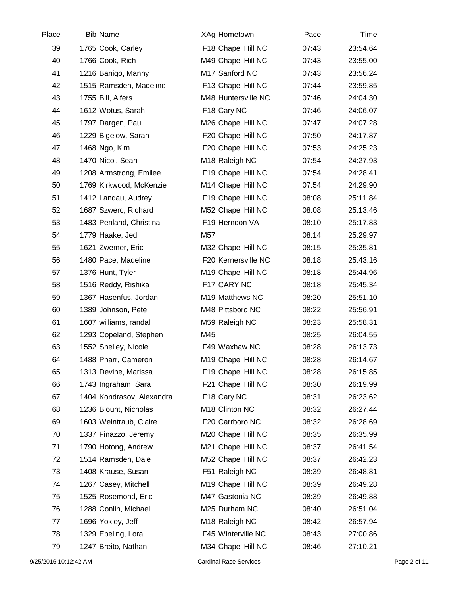| Place | <b>Bib Name</b>           | XAg Hometown               | Pace  | Time     |  |
|-------|---------------------------|----------------------------|-------|----------|--|
| 39    | 1765 Cook, Carley         | F18 Chapel Hill NC         | 07:43 | 23:54.64 |  |
| 40    | 1766 Cook, Rich           | M49 Chapel Hill NC         | 07:43 | 23:55.00 |  |
| 41    | 1216 Banigo, Manny        | M17 Sanford NC             | 07:43 | 23:56.24 |  |
| 42    | 1515 Ramsden, Madeline    | F13 Chapel Hill NC         | 07:44 | 23:59.85 |  |
| 43    | 1755 Bill, Alfers         | M48 Huntersville NC        | 07:46 | 24:04.30 |  |
| 44    | 1612 Wotus, Sarah         | F18 Cary NC                | 07:46 | 24:06.07 |  |
| 45    | 1797 Dargen, Paul         | M26 Chapel Hill NC         | 07:47 | 24:07.28 |  |
| 46    | 1229 Bigelow, Sarah       | F20 Chapel Hill NC         | 07:50 | 24:17.87 |  |
| 47    | 1468 Ngo, Kim             | F20 Chapel Hill NC         | 07:53 | 24:25.23 |  |
| 48    | 1470 Nicol, Sean          | M <sub>18</sub> Raleigh NC | 07:54 | 24:27.93 |  |
| 49    | 1208 Armstrong, Emilee    | F19 Chapel Hill NC         | 07:54 | 24:28.41 |  |
| 50    | 1769 Kirkwood, McKenzie   | M14 Chapel Hill NC         | 07:54 | 24:29.90 |  |
| 51    | 1412 Landau, Audrey       | F19 Chapel Hill NC         | 08:08 | 25:11.84 |  |
| 52    | 1687 Szwerc, Richard      | M52 Chapel Hill NC         | 08:08 | 25:13.46 |  |
| 53    | 1483 Penland, Christina   | F19 Herndon VA             | 08:10 | 25:17.83 |  |
| 54    | 1779 Haake, Jed           | M57                        | 08:14 | 25:29.97 |  |
| 55    | 1621 Zwemer, Eric         | M32 Chapel Hill NC         | 08:15 | 25:35.81 |  |
| 56    | 1480 Pace, Madeline       | F20 Kernersville NC        | 08:18 | 25:43.16 |  |
| 57    | 1376 Hunt, Tyler          | M19 Chapel Hill NC         | 08:18 | 25:44.96 |  |
| 58    | 1516 Reddy, Rishika       | F17 CARY NC                | 08:18 | 25:45.34 |  |
| 59    | 1367 Hasenfus, Jordan     | M19 Matthews NC            | 08:20 | 25:51.10 |  |
| 60    | 1389 Johnson, Pete        | M48 Pittsboro NC           | 08:22 | 25:56.91 |  |
| 61    | 1607 williams, randall    | M59 Raleigh NC             | 08:23 | 25:58.31 |  |
| 62    | 1293 Copeland, Stephen    | M45                        | 08:25 | 26:04.55 |  |
| 63    | 1552 Shelley, Nicole      | F49 Waxhaw NC              | 08:28 | 26:13.73 |  |
| 64    | 1488 Pharr, Cameron       | M19 Chapel Hill NC         | 08:28 | 26:14.67 |  |
| 65    | 1313 Devine, Marissa      | F19 Chapel Hill NC         | 08:28 | 26:15.85 |  |
| 66    | 1743 Ingraham, Sara       | F21 Chapel Hill NC         | 08:30 | 26:19.99 |  |
| 67    | 1404 Kondrasov, Alexandra | F18 Cary NC                | 08:31 | 26:23.62 |  |
| 68    | 1236 Blount, Nicholas     | M <sub>18</sub> Clinton NC | 08:32 | 26:27.44 |  |
| 69    | 1603 Weintraub, Claire    | F20 Carrboro NC            | 08:32 | 26:28.69 |  |
| 70    | 1337 Finazzo, Jeremy      | M20 Chapel Hill NC         | 08:35 | 26:35.99 |  |
| 71    | 1790 Hotong, Andrew       | M21 Chapel Hill NC         | 08:37 | 26:41.54 |  |
| 72    | 1514 Ramsden, Dale        | M52 Chapel Hill NC         | 08:37 | 26:42.23 |  |
| 73    | 1408 Krause, Susan        | F51 Raleigh NC             | 08:39 | 26:48.81 |  |
| 74    | 1267 Casey, Mitchell      | M19 Chapel Hill NC         | 08:39 | 26:49.28 |  |
| 75    | 1525 Rosemond, Eric       | M47 Gastonia NC            | 08:39 | 26:49.88 |  |
| 76    | 1288 Conlin, Michael      | M25 Durham NC              | 08:40 | 26:51.04 |  |
| 77    | 1696 Yokley, Jeff         | M18 Raleigh NC             | 08:42 | 26:57.94 |  |
| 78    | 1329 Ebeling, Lora        | F45 Winterville NC         | 08:43 | 27:00.86 |  |
| 79    | 1247 Breito, Nathan       | M34 Chapel Hill NC         | 08:46 | 27:10.21 |  |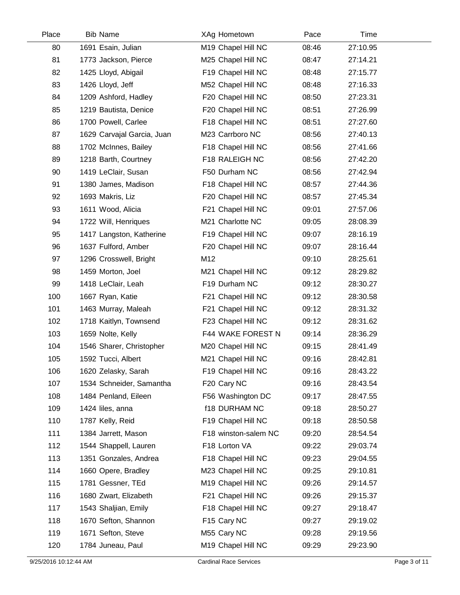| Place | <b>Bib Name</b>            | XAg Hometown         | Pace  | Time     |  |
|-------|----------------------------|----------------------|-------|----------|--|
| 80    | 1691 Esain, Julian         | M19 Chapel Hill NC   | 08:46 | 27:10.95 |  |
| 81    | 1773 Jackson, Pierce       | M25 Chapel Hill NC   | 08:47 | 27:14.21 |  |
| 82    | 1425 Lloyd, Abigail        | F19 Chapel Hill NC   | 08:48 | 27:15.77 |  |
| 83    | 1426 Lloyd, Jeff           | M52 Chapel Hill NC   | 08:48 | 27:16.33 |  |
| 84    | 1209 Ashford, Hadley       | F20 Chapel Hill NC   | 08:50 | 27:23.31 |  |
| 85    | 1219 Bautista, Denice      | F20 Chapel Hill NC   | 08:51 | 27:26.99 |  |
| 86    | 1700 Powell, Carlee        | F18 Chapel Hill NC   | 08:51 | 27:27.60 |  |
| 87    | 1629 Carvajal Garcia, Juan | M23 Carrboro NC      | 08:56 | 27:40.13 |  |
| 88    | 1702 McInnes, Bailey       | F18 Chapel Hill NC   | 08:56 | 27:41.66 |  |
| 89    | 1218 Barth, Courtney       | F18 RALEIGH NC       | 08:56 | 27:42.20 |  |
| 90    | 1419 LeClair, Susan        | F50 Durham NC        | 08:56 | 27:42.94 |  |
| 91    | 1380 James, Madison        | F18 Chapel Hill NC   | 08:57 | 27:44.36 |  |
| 92    | 1693 Makris, Liz           | F20 Chapel Hill NC   | 08:57 | 27:45.34 |  |
| 93    | 1611 Wood, Alicia          | F21 Chapel Hill NC   | 09:01 | 27:57.06 |  |
| 94    | 1722 Will, Henriques       | M21 Charlotte NC     | 09:05 | 28:08.39 |  |
| 95    | 1417 Langston, Katherine   | F19 Chapel Hill NC   | 09:07 | 28:16.19 |  |
| 96    | 1637 Fulford, Amber        | F20 Chapel Hill NC   | 09:07 | 28:16.44 |  |
| 97    | 1296 Crosswell, Bright     | M12                  | 09:10 | 28:25.61 |  |
| 98    | 1459 Morton, Joel          | M21 Chapel Hill NC   | 09:12 | 28:29.82 |  |
| 99    | 1418 LeClair, Leah         | F19 Durham NC        | 09:12 | 28:30.27 |  |
| 100   | 1667 Ryan, Katie           | F21 Chapel Hill NC   | 09:12 | 28:30.58 |  |
| 101   | 1463 Murray, Maleah        | F21 Chapel Hill NC   | 09:12 | 28:31.32 |  |
| 102   | 1718 Kaitlyn, Townsend     | F23 Chapel Hill NC   | 09:12 | 28:31.62 |  |
| 103   | 1659 Nolte, Kelly          | F44 WAKE FOREST N    | 09:14 | 28:36.29 |  |
| 104   | 1546 Sharer, Christopher   | M20 Chapel Hill NC   | 09:15 | 28:41.49 |  |
| 105   | 1592 Tucci, Albert         | M21 Chapel Hill NC   | 09:16 | 28:42.81 |  |
| 106   | 1620 Zelasky, Sarah        | F19 Chapel Hill NC   | 09:16 | 28:43.22 |  |
| 107   | 1534 Schneider, Samantha   | F20 Cary NC          | 09:16 | 28:43.54 |  |
| 108   | 1484 Penland, Eileen       | F56 Washington DC    | 09:17 | 28:47.55 |  |
| 109   | 1424 liles, anna           | <b>f18 DURHAM NC</b> | 09:18 | 28:50.27 |  |
| 110   | 1787 Kelly, Reid           | F19 Chapel Hill NC   | 09:18 | 28:50.58 |  |
| 111   | 1384 Jarrett, Mason        | F18 winston-salem NC | 09:20 | 28:54.54 |  |
| 112   | 1544 Shappell, Lauren      | F18 Lorton VA        | 09:22 | 29:03.74 |  |
| 113   | 1351 Gonzales, Andrea      | F18 Chapel Hill NC   | 09:23 | 29:04.55 |  |
| 114   | 1660 Opere, Bradley        | M23 Chapel Hill NC   | 09:25 | 29:10.81 |  |
| 115   | 1781 Gessner, TEd          | M19 Chapel Hill NC   | 09:26 | 29:14.57 |  |
| 116   | 1680 Zwart, Elizabeth      | F21 Chapel Hill NC   | 09:26 | 29:15.37 |  |
| 117   | 1543 Shaljian, Emily       | F18 Chapel Hill NC   | 09:27 | 29:18.47 |  |
| 118   | 1670 Sefton, Shannon       | F15 Cary NC          | 09:27 | 29:19.02 |  |
| 119   | 1671 Sefton, Steve         | M55 Cary NC          | 09:28 | 29:19.56 |  |
| 120   | 1784 Juneau, Paul          | M19 Chapel Hill NC   | 09:29 | 29:23.90 |  |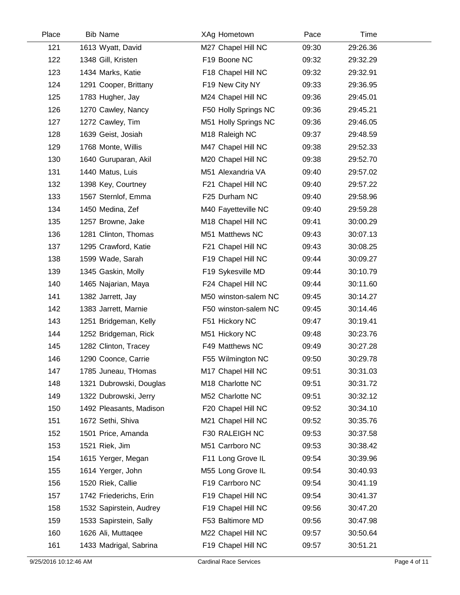| Place | <b>Bib Name</b>         | XAg Hometown               | Pace  | Time     |  |
|-------|-------------------------|----------------------------|-------|----------|--|
| 121   | 1613 Wyatt, David       | M27 Chapel Hill NC         | 09:30 | 29:26.36 |  |
| 122   | 1348 Gill, Kristen      | F19 Boone NC               | 09:32 | 29:32.29 |  |
| 123   | 1434 Marks, Katie       | F18 Chapel Hill NC         | 09:32 | 29:32.91 |  |
| 124   | 1291 Cooper, Brittany   | F19 New City NY            | 09:33 | 29:36.95 |  |
| 125   | 1783 Hugher, Jay        | M24 Chapel Hill NC         | 09:36 | 29:45.01 |  |
| 126   | 1270 Cawley, Nancy      | F50 Holly Springs NC       | 09:36 | 29:45.21 |  |
| 127   | 1272 Cawley, Tim        | M51 Holly Springs NC       | 09:36 | 29:46.05 |  |
| 128   | 1639 Geist, Josiah      | M <sub>18</sub> Raleigh NC | 09:37 | 29:48.59 |  |
| 129   | 1768 Monte, Willis      | M47 Chapel Hill NC         | 09:38 | 29:52.33 |  |
| 130   | 1640 Guruparan, Akil    | M20 Chapel Hill NC         | 09:38 | 29:52.70 |  |
| 131   | 1440 Matus, Luis        | M51 Alexandria VA          | 09:40 | 29:57.02 |  |
| 132   | 1398 Key, Courtney      | F21 Chapel Hill NC         | 09:40 | 29:57.22 |  |
| 133   | 1567 Sternlof, Emma     | F25 Durham NC              | 09:40 | 29:58.96 |  |
| 134   | 1450 Medina, Zef        | M40 Fayetteville NC        | 09:40 | 29:59.28 |  |
| 135   | 1257 Browne, Jake       | M18 Chapel Hill NC         | 09:41 | 30:00.29 |  |
| 136   | 1281 Clinton, Thomas    | M51 Matthews NC            | 09:43 | 30:07.13 |  |
| 137   | 1295 Crawford, Katie    | F21 Chapel Hill NC         | 09:43 | 30:08.25 |  |
| 138   | 1599 Wade, Sarah        | F19 Chapel Hill NC         | 09:44 | 30:09.27 |  |
| 139   | 1345 Gaskin, Molly      | F19 Sykesville MD          | 09:44 | 30:10.79 |  |
| 140   | 1465 Najarian, Maya     | F24 Chapel Hill NC         | 09:44 | 30:11.60 |  |
| 141   | 1382 Jarrett, Jay       | M50 winston-salem NC       | 09:45 | 30:14.27 |  |
| 142   | 1383 Jarrett, Marnie    | F50 winston-salem NC       | 09:45 | 30:14.46 |  |
| 143   | 1251 Bridgeman, Kelly   | F51 Hickory NC             | 09:47 | 30:19.41 |  |
| 144   | 1252 Bridgeman, Rick    | M51 Hickory NC             | 09:48 | 30:23.76 |  |
| 145   | 1282 Clinton, Tracey    | F49 Matthews NC            | 09:49 | 30:27.28 |  |
| 146   | 1290 Coonce, Carrie     | F55 Wilmington NC          | 09:50 | 30:29.78 |  |
| 147   | 1785 Juneau, THomas     | M17 Chapel Hill NC         | 09:51 | 30:31.03 |  |
| 148   | 1321 Dubrowski, Douglas | M18 Charlotte NC           | 09:51 | 30:31.72 |  |
| 149   | 1322 Dubrowski, Jerry   | M52 Charlotte NC           | 09:51 | 30:32.12 |  |
| 150   | 1492 Pleasants, Madison | F20 Chapel Hill NC         | 09:52 | 30:34.10 |  |
| 151   | 1672 Sethi, Shiva       | M21 Chapel Hill NC         | 09:52 | 30:35.76 |  |
| 152   | 1501 Price, Amanda      | F30 RALEIGH NC             | 09:53 | 30:37.58 |  |
| 153   | 1521 Riek, Jim          | M51 Carrboro NC            | 09:53 | 30:38.42 |  |
| 154   | 1615 Yerger, Megan      | F11 Long Grove IL          | 09:54 | 30:39.96 |  |
| 155   | 1614 Yerger, John       | M55 Long Grove IL          | 09:54 | 30:40.93 |  |
| 156   | 1520 Riek, Callie       | F19 Carrboro NC            | 09:54 | 30:41.19 |  |
| 157   | 1742 Friederichs, Erin  | F19 Chapel Hill NC         | 09:54 | 30:41.37 |  |
| 158   | 1532 Sapirstein, Audrey | F19 Chapel Hill NC         | 09:56 | 30:47.20 |  |
| 159   | 1533 Sapirstein, Sally  | F53 Baltimore MD           | 09:56 | 30:47.98 |  |
| 160   | 1626 Ali, Muttaqee      | M22 Chapel Hill NC         | 09:57 | 30:50.64 |  |
| 161   | 1433 Madrigal, Sabrina  | F19 Chapel Hill NC         | 09:57 | 30:51.21 |  |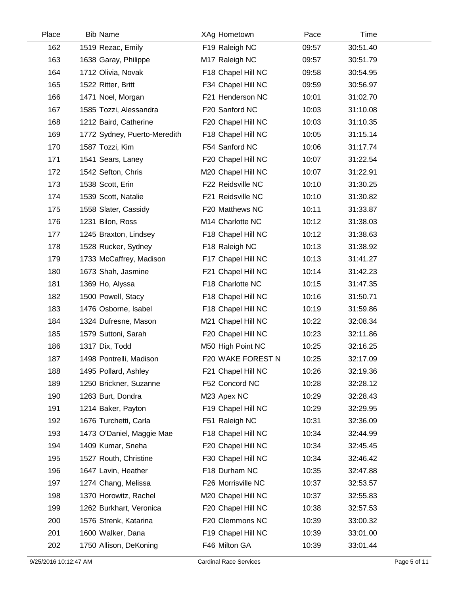| Place | <b>Bib Name</b>              | XAg Hometown       | Pace  | Time     |  |
|-------|------------------------------|--------------------|-------|----------|--|
| 162   | 1519 Rezac, Emily            | F19 Raleigh NC     | 09:57 | 30:51.40 |  |
| 163   | 1638 Garay, Philippe         | M17 Raleigh NC     | 09:57 | 30:51.79 |  |
| 164   | 1712 Olivia, Novak           | F18 Chapel Hill NC | 09:58 | 30:54.95 |  |
| 165   | 1522 Ritter, Britt           | F34 Chapel Hill NC | 09:59 | 30:56.97 |  |
| 166   | 1471 Noel, Morgan            | F21 Henderson NC   | 10:01 | 31:02.70 |  |
| 167   | 1585 Tozzi, Alessandra       | F20 Sanford NC     | 10:03 | 31:10.08 |  |
| 168   | 1212 Baird, Catherine        | F20 Chapel Hill NC | 10:03 | 31:10.35 |  |
| 169   | 1772 Sydney, Puerto-Meredith | F18 Chapel Hill NC | 10:05 | 31:15.14 |  |
| 170   | 1587 Tozzi, Kim              | F54 Sanford NC     | 10:06 | 31:17.74 |  |
| 171   | 1541 Sears, Laney            | F20 Chapel Hill NC | 10:07 | 31:22.54 |  |
| 172   | 1542 Sefton, Chris           | M20 Chapel Hill NC | 10:07 | 31:22.91 |  |
| 173   | 1538 Scott, Erin             | F22 Reidsville NC  | 10:10 | 31:30.25 |  |
| 174   | 1539 Scott, Natalie          | F21 Reidsville NC  | 10:10 | 31:30.82 |  |
| 175   | 1558 Slater, Cassidy         | F20 Matthews NC    | 10:11 | 31:33.87 |  |
| 176   | 1231 Bilon, Ross             | M14 Charlotte NC   | 10:12 | 31:38.03 |  |
| 177   | 1245 Braxton, Lindsey        | F18 Chapel Hill NC | 10:12 | 31:38.63 |  |
| 178   | 1528 Rucker, Sydney          | F18 Raleigh NC     | 10:13 | 31:38.92 |  |
| 179   | 1733 McCaffrey, Madison      | F17 Chapel Hill NC | 10:13 | 31:41.27 |  |
| 180   | 1673 Shah, Jasmine           | F21 Chapel Hill NC | 10:14 | 31:42.23 |  |
| 181   | 1369 Ho, Alyssa              | F18 Charlotte NC   | 10:15 | 31:47.35 |  |
| 182   | 1500 Powell, Stacy           | F18 Chapel Hill NC | 10:16 | 31:50.71 |  |
| 183   | 1476 Osborne, Isabel         | F18 Chapel Hill NC | 10:19 | 31:59.86 |  |
| 184   | 1324 Dufresne, Mason         | M21 Chapel Hill NC | 10:22 | 32:08.34 |  |
| 185   | 1579 Suttoni, Sarah          | F20 Chapel Hill NC | 10:23 | 32:11.86 |  |
| 186   | 1317 Dix, Todd               | M50 High Point NC  | 10:25 | 32:16.25 |  |
| 187   | 1498 Pontrelli, Madison      | F20 WAKE FOREST N  | 10:25 | 32:17.09 |  |
| 188   | 1495 Pollard, Ashley         | F21 Chapel Hill NC | 10:26 | 32:19.36 |  |
| 189   | 1250 Brickner, Suzanne       | F52 Concord NC     | 10:28 | 32:28.12 |  |
| 190   | 1263 Burt, Dondra            | M23 Apex NC        | 10:29 | 32:28.43 |  |
| 191   | 1214 Baker, Payton           | F19 Chapel Hill NC | 10:29 | 32:29.95 |  |
| 192   | 1676 Turchetti, Carla        | F51 Raleigh NC     | 10:31 | 32:36.09 |  |
| 193   | 1473 O'Daniel, Maggie Mae    | F18 Chapel Hill NC | 10:34 | 32:44.99 |  |
| 194   | 1409 Kumar, Sneha            | F20 Chapel Hill NC | 10:34 | 32:45.45 |  |
| 195   | 1527 Routh, Christine        | F30 Chapel Hill NC | 10:34 | 32:46.42 |  |
| 196   | 1647 Lavin, Heather          | F18 Durham NC      | 10:35 | 32:47.88 |  |
| 197   | 1274 Chang, Melissa          | F26 Morrisville NC | 10:37 | 32:53.57 |  |
| 198   | 1370 Horowitz, Rachel        | M20 Chapel Hill NC | 10:37 | 32:55.83 |  |
| 199   | 1262 Burkhart, Veronica      | F20 Chapel Hill NC | 10:38 | 32:57.53 |  |
| 200   | 1576 Strenk, Katarina        | F20 Clemmons NC    | 10:39 | 33:00.32 |  |
| 201   | 1600 Walker, Dana            | F19 Chapel Hill NC | 10:39 | 33:01.00 |  |
| 202   | 1750 Allison, DeKoning       | F46 Milton GA      | 10:39 | 33:01.44 |  |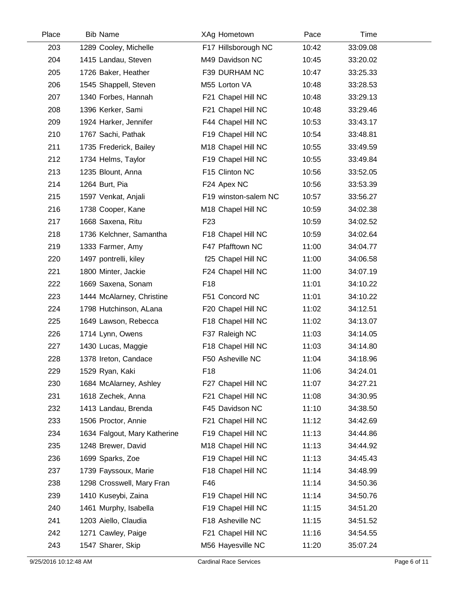| Place | <b>Bib Name</b>              | XAg Hometown         | Pace  | Time     |  |
|-------|------------------------------|----------------------|-------|----------|--|
| 203   | 1289 Cooley, Michelle        | F17 Hillsborough NC  | 10:42 | 33:09.08 |  |
| 204   | 1415 Landau, Steven          | M49 Davidson NC      | 10:45 | 33:20.02 |  |
| 205   | 1726 Baker, Heather          | F39 DURHAM NC        | 10:47 | 33:25.33 |  |
| 206   | 1545 Shappell, Steven        | M55 Lorton VA        | 10:48 | 33:28.53 |  |
| 207   | 1340 Forbes, Hannah          | F21 Chapel Hill NC   | 10:48 | 33:29.13 |  |
| 208   | 1396 Kerker, Sami            | F21 Chapel Hill NC   | 10:48 | 33:29.46 |  |
| 209   | 1924 Harker, Jennifer        | F44 Chapel Hill NC   | 10:53 | 33:43.17 |  |
| 210   | 1767 Sachi, Pathak           | F19 Chapel Hill NC   | 10:54 | 33:48.81 |  |
| 211   | 1735 Frederick, Bailey       | M18 Chapel Hill NC   | 10:55 | 33:49.59 |  |
| 212   | 1734 Helms, Taylor           | F19 Chapel Hill NC   | 10:55 | 33:49.84 |  |
| 213   | 1235 Blount, Anna            | F15 Clinton NC       | 10:56 | 33:52.05 |  |
| 214   | 1264 Burt, Pia               | F24 Apex NC          | 10:56 | 33:53.39 |  |
| 215   | 1597 Venkat, Anjali          | F19 winston-salem NC | 10:57 | 33:56.27 |  |
| 216   | 1738 Cooper, Kane            | M18 Chapel Hill NC   | 10:59 | 34:02.38 |  |
| 217   | 1668 Saxena, Ritu            | F <sub>23</sub>      | 10:59 | 34:02.52 |  |
| 218   | 1736 Kelchner, Samantha      | F18 Chapel Hill NC   | 10:59 | 34:02.64 |  |
| 219   | 1333 Farmer, Amy             | F47 Pfafftown NC     | 11:00 | 34:04.77 |  |
| 220   | 1497 pontrelli, kiley        | f25 Chapel Hill NC   | 11:00 | 34:06.58 |  |
| 221   | 1800 Minter, Jackie          | F24 Chapel Hill NC   | 11:00 | 34:07.19 |  |
| 222   | 1669 Saxena, Sonam           | F <sub>18</sub>      | 11:01 | 34:10.22 |  |
| 223   | 1444 McAlarney, Christine    | F51 Concord NC       | 11:01 | 34:10.22 |  |
| 224   | 1798 Hutchinson, ALana       | F20 Chapel Hill NC   | 11:02 | 34:12.51 |  |
| 225   | 1649 Lawson, Rebecca         | F18 Chapel Hill NC   | 11:02 | 34:13.07 |  |
| 226   | 1714 Lynn, Owens             | F37 Raleigh NC       | 11:03 | 34:14.05 |  |
| 227   | 1430 Lucas, Maggie           | F18 Chapel Hill NC   | 11:03 | 34:14.80 |  |
| 228   | 1378 Ireton, Candace         | F50 Asheville NC     | 11:04 | 34:18.96 |  |
| 229   | 1529 Ryan, Kaki              | F <sub>18</sub>      | 11:06 | 34:24.01 |  |
| 230   | 1684 McAlarney, Ashley       | F27 Chapel Hill NC   | 11:07 | 34:27.21 |  |
| 231   | 1618 Zechek, Anna            | F21 Chapel Hill NC   | 11:08 | 34:30.95 |  |
| 232   | 1413 Landau, Brenda          | F45 Davidson NC      | 11:10 | 34:38.50 |  |
| 233   | 1506 Proctor, Annie          | F21 Chapel Hill NC   | 11:12 | 34:42.69 |  |
| 234   | 1634 Falgout, Mary Katherine | F19 Chapel Hill NC   | 11:13 | 34:44.86 |  |
| 235   | 1248 Brewer, David           | M18 Chapel Hill NC   | 11:13 | 34:44.92 |  |
| 236   | 1699 Sparks, Zoe             | F19 Chapel Hill NC   | 11:13 | 34:45.43 |  |
| 237   | 1739 Fayssoux, Marie         | F18 Chapel Hill NC   | 11:14 | 34:48.99 |  |
| 238   | 1298 Crosswell, Mary Fran    | F46                  | 11:14 | 34:50.36 |  |
| 239   | 1410 Kuseybi, Zaina          | F19 Chapel Hill NC   | 11:14 | 34:50.76 |  |
| 240   | 1461 Murphy, Isabella        | F19 Chapel Hill NC   | 11:15 | 34:51.20 |  |
| 241   | 1203 Aiello, Claudia         | F18 Asheville NC     | 11:15 | 34:51.52 |  |
| 242   | 1271 Cawley, Paige           | F21 Chapel Hill NC   | 11:16 | 34:54.55 |  |
| 243   | 1547 Sharer, Skip            | M56 Hayesville NC    | 11:20 | 35:07.24 |  |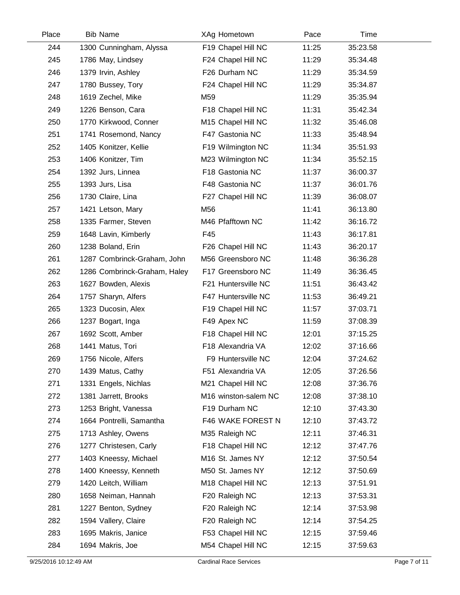| Place | <b>Bib Name</b>              | XAg Hometown         | Pace  | Time     |  |
|-------|------------------------------|----------------------|-------|----------|--|
| 244   | 1300 Cunningham, Alyssa      | F19 Chapel Hill NC   | 11:25 | 35:23.58 |  |
| 245   | 1786 May, Lindsey            | F24 Chapel Hill NC   | 11:29 | 35:34.48 |  |
| 246   | 1379 Irvin, Ashley           | F26 Durham NC        | 11:29 | 35:34.59 |  |
| 247   | 1780 Bussey, Tory            | F24 Chapel Hill NC   | 11:29 | 35:34.87 |  |
| 248   | 1619 Zechel, Mike            | M59                  | 11:29 | 35:35.94 |  |
| 249   | 1226 Benson, Cara            | F18 Chapel Hill NC   | 11:31 | 35:42.34 |  |
| 250   | 1770 Kirkwood, Conner        | M15 Chapel Hill NC   | 11:32 | 35:46.08 |  |
| 251   | 1741 Rosemond, Nancy         | F47 Gastonia NC      | 11:33 | 35:48.94 |  |
| 252   | 1405 Konitzer, Kellie        | F19 Wilmington NC    | 11:34 | 35:51.93 |  |
| 253   | 1406 Konitzer, Tim           | M23 Wilmington NC    | 11:34 | 35:52.15 |  |
| 254   | 1392 Jurs, Linnea            | F18 Gastonia NC      | 11:37 | 36:00.37 |  |
| 255   | 1393 Jurs, Lisa              | F48 Gastonia NC      | 11:37 | 36:01.76 |  |
| 256   | 1730 Claire, Lina            | F27 Chapel Hill NC   | 11:39 | 36:08.07 |  |
| 257   | 1421 Letson, Mary            | M56                  | 11:41 | 36:13.80 |  |
| 258   | 1335 Farmer, Steven          | M46 Pfafftown NC     | 11:42 | 36:16.72 |  |
| 259   | 1648 Lavin, Kimberly         | F45                  | 11:43 | 36:17.81 |  |
| 260   | 1238 Boland, Erin            | F26 Chapel Hill NC   | 11:43 | 36:20.17 |  |
| 261   | 1287 Combrinck-Graham, John  | M56 Greensboro NC    | 11:48 | 36:36.28 |  |
| 262   | 1286 Combrinck-Graham, Haley | F17 Greensboro NC    | 11:49 | 36:36.45 |  |
| 263   | 1627 Bowden, Alexis          | F21 Huntersville NC  | 11:51 | 36:43.42 |  |
| 264   | 1757 Sharyn, Alfers          | F47 Huntersville NC  | 11:53 | 36:49.21 |  |
| 265   | 1323 Ducosin, Alex           | F19 Chapel Hill NC   | 11:57 | 37:03.71 |  |
| 266   | 1237 Bogart, Inga            | F49 Apex NC          | 11:59 | 37:08.39 |  |
| 267   | 1692 Scott, Amber            | F18 Chapel Hill NC   | 12:01 | 37:15.25 |  |
| 268   | 1441 Matus, Tori             | F18 Alexandria VA    | 12:02 | 37:16.66 |  |
| 269   | 1756 Nicole, Alfers          | F9 Huntersville NC   | 12:04 | 37:24.62 |  |
| 270   | 1439 Matus, Cathy            | F51 Alexandria VA    | 12:05 | 37:26.56 |  |
| 271   | 1331 Engels, Nichlas         | M21 Chapel Hill NC   | 12:08 | 37:36.76 |  |
| 272   | 1381 Jarrett, Brooks         | M16 winston-salem NC | 12:08 | 37:38.10 |  |
| 273   | 1253 Bright, Vanessa         | F19 Durham NC        | 12:10 | 37:43.30 |  |
| 274   | 1664 Pontrelli, Samantha     | F46 WAKE FOREST N    | 12:10 | 37:43.72 |  |
| 275   | 1713 Ashley, Owens           | M35 Raleigh NC       | 12:11 | 37:46.31 |  |
| 276   | 1277 Christesen, Carly       | F18 Chapel Hill NC   | 12:12 | 37:47.76 |  |
| 277   | 1403 Kneessy, Michael        | M16 St. James NY     | 12:12 | 37:50.54 |  |
| 278   | 1400 Kneessy, Kenneth        | M50 St. James NY     | 12:12 | 37:50.69 |  |
| 279   | 1420 Leitch, William         | M18 Chapel Hill NC   | 12:13 | 37:51.91 |  |
| 280   | 1658 Neiman, Hannah          | F20 Raleigh NC       | 12:13 | 37:53.31 |  |
| 281   | 1227 Benton, Sydney          | F20 Raleigh NC       | 12:14 | 37:53.98 |  |
| 282   | 1594 Vallery, Claire         | F20 Raleigh NC       | 12:14 | 37:54.25 |  |
| 283   | 1695 Makris, Janice          | F53 Chapel Hill NC   | 12:15 | 37:59.46 |  |
| 284   | 1694 Makris, Joe             | M54 Chapel Hill NC   | 12:15 | 37:59.63 |  |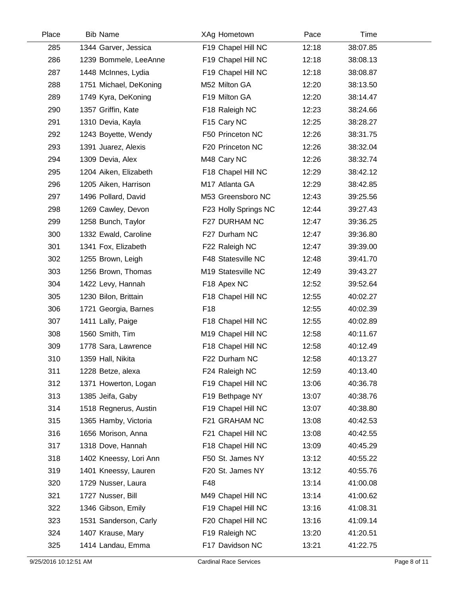| Place | <b>Bib Name</b>        | XAg Hometown         | Pace  | Time     |  |
|-------|------------------------|----------------------|-------|----------|--|
| 285   | 1344 Garver, Jessica   | F19 Chapel Hill NC   | 12:18 | 38:07.85 |  |
| 286   | 1239 Bommele, LeeAnne  | F19 Chapel Hill NC   | 12:18 | 38:08.13 |  |
| 287   | 1448 McInnes, Lydia    | F19 Chapel Hill NC   | 12:18 | 38:08.87 |  |
| 288   | 1751 Michael, DeKoning | M52 Milton GA        | 12:20 | 38:13.50 |  |
| 289   | 1749 Kyra, DeKoning    | F19 Milton GA        | 12:20 | 38:14.47 |  |
| 290   | 1357 Griffin, Kate     | F18 Raleigh NC       | 12:23 | 38:24.66 |  |
| 291   | 1310 Devia, Kayla      | F15 Cary NC          | 12:25 | 38:28.27 |  |
| 292   | 1243 Boyette, Wendy    | F50 Princeton NC     | 12:26 | 38:31.75 |  |
| 293   | 1391 Juarez, Alexis    | F20 Princeton NC     | 12:26 | 38:32.04 |  |
| 294   | 1309 Devia, Alex       | M48 Cary NC          | 12:26 | 38:32.74 |  |
| 295   | 1204 Aiken, Elizabeth  | F18 Chapel Hill NC   | 12:29 | 38:42.12 |  |
| 296   | 1205 Aiken, Harrison   | M17 Atlanta GA       | 12:29 | 38:42.85 |  |
| 297   | 1496 Pollard, David    | M53 Greensboro NC    | 12:43 | 39:25.56 |  |
| 298   | 1269 Cawley, Devon     | F23 Holly Springs NC | 12:44 | 39:27.43 |  |
| 299   | 1258 Bunch, Taylor     | F27 DURHAM NC        | 12:47 | 39:36.25 |  |
| 300   | 1332 Ewald, Caroline   | F27 Durham NC        | 12:47 | 39:36.80 |  |
| 301   | 1341 Fox, Elizabeth    | F22 Raleigh NC       | 12:47 | 39:39.00 |  |
| 302   | 1255 Brown, Leigh      | F48 Statesville NC   | 12:48 | 39:41.70 |  |
| 303   | 1256 Brown, Thomas     | M19 Statesville NC   | 12:49 | 39:43.27 |  |
| 304   | 1422 Levy, Hannah      | F18 Apex NC          | 12:52 | 39:52.64 |  |
| 305   | 1230 Bilon, Brittain   | F18 Chapel Hill NC   | 12:55 | 40:02.27 |  |
| 306   | 1721 Georgia, Barnes   | F <sub>18</sub>      | 12:55 | 40:02.39 |  |
| 307   | 1411 Lally, Paige      | F18 Chapel Hill NC   | 12:55 | 40:02.89 |  |
| 308   | 1560 Smith, Tim        | M19 Chapel Hill NC   | 12:58 | 40:11.67 |  |
| 309   | 1778 Sara, Lawrence    | F18 Chapel Hill NC   | 12:58 | 40:12.49 |  |
| 310   | 1359 Hall, Nikita      | F22 Durham NC        | 12:58 | 40:13.27 |  |
| 311   | 1228 Betze, alexa      | F24 Raleigh NC       | 12:59 | 40:13.40 |  |
| 312   | 1371 Howerton, Logan   | F19 Chapel Hill NC   | 13:06 | 40:36.78 |  |
| 313   | 1385 Jeifa, Gaby       | F19 Bethpage NY      | 13:07 | 40:38.76 |  |
| 314   | 1518 Regnerus, Austin  | F19 Chapel Hill NC   | 13:07 | 40:38.80 |  |
| 315   | 1365 Hamby, Victoria   | F21 GRAHAM NC        | 13:08 | 40:42.53 |  |
| 316   | 1656 Morison, Anna     | F21 Chapel Hill NC   | 13:08 | 40:42.55 |  |
| 317   | 1318 Dove, Hannah      | F18 Chapel Hill NC   | 13:09 | 40:45.29 |  |
| 318   | 1402 Kneessy, Lori Ann | F50 St. James NY     | 13:12 | 40:55.22 |  |
| 319   | 1401 Kneessy, Lauren   | F20 St. James NY     | 13:12 | 40:55.76 |  |
| 320   | 1729 Nusser, Laura     | F48                  | 13:14 | 41:00.08 |  |
| 321   | 1727 Nusser, Bill      | M49 Chapel Hill NC   | 13:14 | 41:00.62 |  |
| 322   | 1346 Gibson, Emily     | F19 Chapel Hill NC   | 13:16 | 41:08.31 |  |
| 323   | 1531 Sanderson, Carly  | F20 Chapel Hill NC   | 13:16 | 41:09.14 |  |
| 324   | 1407 Krause, Mary      | F19 Raleigh NC       | 13:20 | 41:20.51 |  |
| 325   | 1414 Landau, Emma      | F17 Davidson NC      | 13:21 | 41:22.75 |  |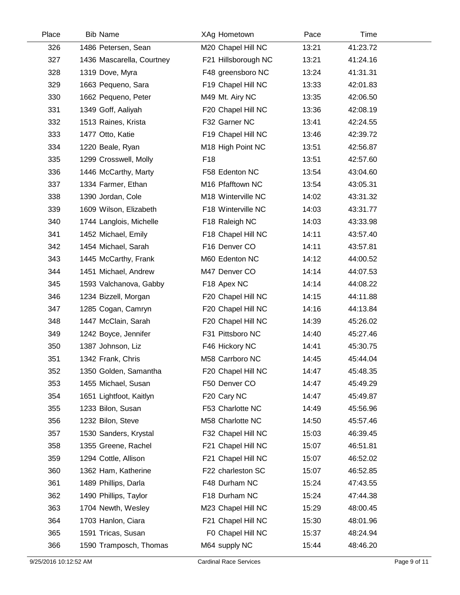| Place | <b>Bib Name</b>           | XAg Hometown                  | Pace  | Time     |  |
|-------|---------------------------|-------------------------------|-------|----------|--|
| 326   | 1486 Petersen, Sean       | M20 Chapel Hill NC            | 13:21 | 41:23.72 |  |
| 327   | 1436 Mascarella, Courtney | F21 Hillsborough NC           | 13:21 | 41:24.16 |  |
| 328   | 1319 Dove, Myra           | F48 greensboro NC             | 13:24 | 41:31.31 |  |
| 329   | 1663 Pequeno, Sara        | F19 Chapel Hill NC            | 13:33 | 42:01.83 |  |
| 330   | 1662 Pequeno, Peter       | M49 Mt. Airy NC               | 13:35 | 42:06.50 |  |
| 331   | 1349 Goff, Aaliyah        | F20 Chapel Hill NC            | 13:36 | 42:08.19 |  |
| 332   | 1513 Raines, Krista       | F32 Garner NC                 | 13:41 | 42:24.55 |  |
| 333   | 1477 Otto, Katie          | F19 Chapel Hill NC            | 13:46 | 42:39.72 |  |
| 334   | 1220 Beale, Ryan          | M <sub>18</sub> High Point NC | 13:51 | 42:56.87 |  |
| 335   | 1299 Crosswell, Molly     | F <sub>18</sub>               | 13:51 | 42:57.60 |  |
| 336   | 1446 McCarthy, Marty      | F58 Edenton NC                | 13:54 | 43:04.60 |  |
| 337   | 1334 Farmer, Ethan        | M16 Pfafftown NC              | 13:54 | 43:05.31 |  |
| 338   | 1390 Jordan, Cole         | M18 Winterville NC            | 14:02 | 43:31.32 |  |
| 339   | 1609 Wilson, Elizabeth    | F18 Winterville NC            | 14:03 | 43:31.77 |  |
| 340   | 1744 Langlois, Michelle   | F18 Raleigh NC                | 14:03 | 43:33.98 |  |
| 341   | 1452 Michael, Emily       | F18 Chapel Hill NC            | 14:11 | 43:57.40 |  |
| 342   | 1454 Michael, Sarah       | F16 Denver CO                 | 14:11 | 43:57.81 |  |
| 343   | 1445 McCarthy, Frank      | M60 Edenton NC                | 14:12 | 44:00.52 |  |
| 344   | 1451 Michael, Andrew      | M47 Denver CO                 | 14:14 | 44:07.53 |  |
| 345   | 1593 Valchanova, Gabby    | F18 Apex NC                   | 14:14 | 44:08.22 |  |
| 346   | 1234 Bizzell, Morgan      | F20 Chapel Hill NC            | 14:15 | 44:11.88 |  |
| 347   | 1285 Cogan, Camryn        | F20 Chapel Hill NC            | 14:16 | 44:13.84 |  |
| 348   | 1447 McClain, Sarah       | F20 Chapel Hill NC            | 14:39 | 45:26.02 |  |
| 349   | 1242 Boyce, Jennifer      | F31 Pittsboro NC              | 14:40 | 45:27.46 |  |
| 350   | 1387 Johnson, Liz         | F46 Hickory NC                | 14:41 | 45:30.75 |  |
| 351   | 1342 Frank, Chris         | M58 Carrboro NC               | 14:45 | 45:44.04 |  |
| 352   | 1350 Golden, Samantha     | F20 Chapel Hill NC            | 14:47 | 45:48.35 |  |
| 353   | 1455 Michael, Susan       | F50 Denver CO                 | 14:47 | 45:49.29 |  |
| 354   | 1651 Lightfoot, Kaitlyn   | F20 Cary NC                   | 14:47 | 45:49.87 |  |
| 355   | 1233 Bilon, Susan         | F53 Charlotte NC              | 14:49 | 45:56.96 |  |
| 356   | 1232 Bilon, Steve         | M58 Charlotte NC              | 14:50 | 45:57.46 |  |
| 357   | 1530 Sanders, Krystal     | F32 Chapel Hill NC            | 15:03 | 46:39.45 |  |
| 358   | 1355 Greene, Rachel       | F21 Chapel Hill NC            | 15:07 | 46:51.81 |  |
| 359   | 1294 Cottle, Allison      | F21 Chapel Hill NC            | 15:07 | 46:52.02 |  |
| 360   | 1362 Ham, Katherine       | F22 charleston SC             | 15:07 | 46:52.85 |  |
| 361   | 1489 Phillips, Darla      | F48 Durham NC                 | 15:24 | 47:43.55 |  |
| 362   | 1490 Phillips, Taylor     | F18 Durham NC                 | 15:24 | 47:44.38 |  |
| 363   | 1704 Newth, Wesley        | M23 Chapel Hill NC            | 15:29 | 48:00.45 |  |
| 364   | 1703 Hanlon, Ciara        | F21 Chapel Hill NC            | 15:30 | 48:01.96 |  |
| 365   | 1591 Tricas, Susan        | F0 Chapel Hill NC             | 15:37 | 48:24.94 |  |
| 366   | 1590 Tramposch, Thomas    | M64 supply NC                 | 15:44 | 48:46.20 |  |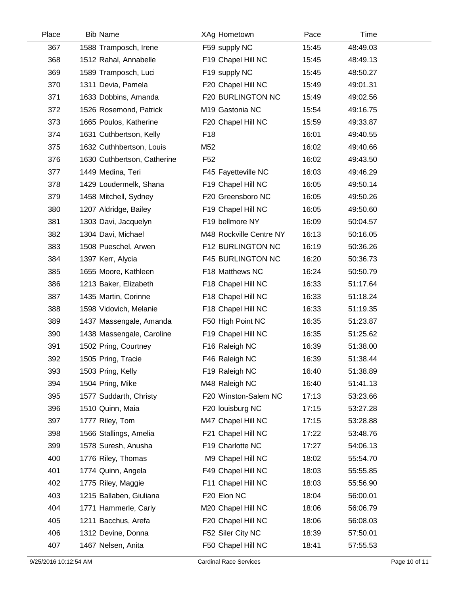| Place | <b>Bib Name</b>             | XAg Hometown             | Pace  | Time     |  |
|-------|-----------------------------|--------------------------|-------|----------|--|
| 367   | 1588 Tramposch, Irene       | F59 supply NC            | 15:45 | 48:49.03 |  |
| 368   | 1512 Rahal, Annabelle       | F19 Chapel Hill NC       | 15:45 | 48:49.13 |  |
| 369   | 1589 Tramposch, Luci        | F19 supply NC            | 15:45 | 48:50.27 |  |
| 370   | 1311 Devia, Pamela          | F20 Chapel Hill NC       | 15:49 | 49:01.31 |  |
| 371   | 1633 Dobbins, Amanda        | F20 BURLINGTON NC        | 15:49 | 49:02.56 |  |
| 372   | 1526 Rosemond, Patrick      | M19 Gastonia NC          | 15:54 | 49:16.75 |  |
| 373   | 1665 Poulos, Katherine      | F20 Chapel Hill NC       | 15:59 | 49:33.87 |  |
| 374   | 1631 Cuthbertson, Kelly     | F <sub>18</sub>          | 16:01 | 49:40.55 |  |
| 375   | 1632 Cuthhbertson, Louis    | M52                      | 16:02 | 49:40.66 |  |
| 376   | 1630 Cuthbertson, Catherine | F <sub>52</sub>          | 16:02 | 49:43.50 |  |
| 377   | 1449 Medina, Teri           | F45 Fayetteville NC      | 16:03 | 49:46.29 |  |
| 378   | 1429 Loudermelk, Shana      | F19 Chapel Hill NC       | 16:05 | 49:50.14 |  |
| 379   | 1458 Mitchell, Sydney       | F20 Greensboro NC        | 16:05 | 49:50.26 |  |
| 380   | 1207 Aldridge, Bailey       | F19 Chapel Hill NC       | 16:05 | 49:50.60 |  |
| 381   | 1303 Davi, Jacquelyn        | F19 bellmore NY          | 16:09 | 50:04.57 |  |
| 382   | 1304 Davi, Michael          | M48 Rockville Centre NY  | 16:13 | 50:16.05 |  |
| 383   | 1508 Pueschel, Arwen        | F12 BURLINGTON NC        | 16:19 | 50:36.26 |  |
| 384   | 1397 Kerr, Alycia           | <b>F45 BURLINGTON NC</b> | 16:20 | 50:36.73 |  |
| 385   | 1655 Moore, Kathleen        | F18 Matthews NC          | 16:24 | 50:50.79 |  |
| 386   | 1213 Baker, Elizabeth       | F18 Chapel Hill NC       | 16:33 | 51:17.64 |  |
| 387   | 1435 Martin, Corinne        | F18 Chapel Hill NC       | 16:33 | 51:18.24 |  |
| 388   | 1598 Vidovich, Melanie      | F18 Chapel Hill NC       | 16:33 | 51:19.35 |  |
| 389   | 1437 Massengale, Amanda     | F50 High Point NC        | 16:35 | 51:23.87 |  |
| 390   | 1438 Massengale, Caroline   | F19 Chapel Hill NC       | 16:35 | 51:25.62 |  |
| 391   | 1502 Pring, Courtney        | F16 Raleigh NC           | 16:39 | 51:38.00 |  |
| 392   | 1505 Pring, Tracie          | F46 Raleigh NC           | 16:39 | 51:38.44 |  |
| 393   | 1503 Pring, Kelly           | F19 Raleigh NC           | 16:40 | 51:38.89 |  |
| 394   | 1504 Pring, Mike            | M48 Raleigh NC           | 16:40 | 51:41.13 |  |
| 395   | 1577 Suddarth, Christy      | F20 Winston-Salem NC     | 17:13 | 53:23.66 |  |
| 396   | 1510 Quinn, Maia            | F20 louisburg NC         | 17:15 | 53:27.28 |  |
| 397   | 1777 Riley, Tom             | M47 Chapel Hill NC       | 17:15 | 53:28.88 |  |
| 398   | 1566 Stallings, Amelia      | F21 Chapel Hill NC       | 17:22 | 53:48.76 |  |
| 399   | 1578 Suresh, Anusha         | F19 Charlotte NC         | 17:27 | 54:06.13 |  |
| 400   | 1776 Riley, Thomas          | M9 Chapel Hill NC        | 18:02 | 55:54.70 |  |
| 401   | 1774 Quinn, Angela          | F49 Chapel Hill NC       | 18:03 | 55:55.85 |  |
| 402   | 1775 Riley, Maggie          | F11 Chapel Hill NC       | 18:03 | 55:56.90 |  |
| 403   | 1215 Ballaben, Giuliana     | F20 Elon NC              | 18:04 | 56:00.01 |  |
| 404   | 1771 Hammerle, Carly        | M20 Chapel Hill NC       | 18:06 | 56:06.79 |  |
| 405   | 1211 Bacchus, Arefa         | F20 Chapel Hill NC       | 18:06 | 56:08.03 |  |
| 406   | 1312 Devine, Donna          | F52 Siler City NC        | 18:39 | 57:50.01 |  |
| 407   | 1467 Nelsen, Anita          | F50 Chapel Hill NC       | 18:41 | 57:55.53 |  |